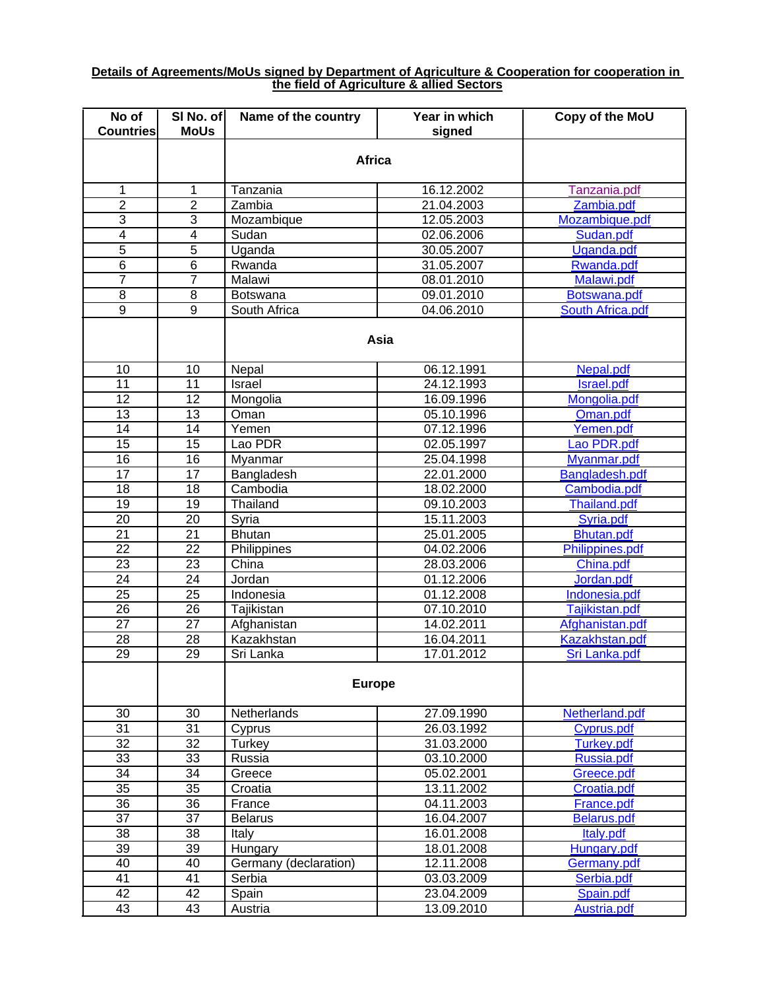## **Details of Agreements/MoUs signed by Department of Agriculture & Cooperation for cooperation in the field of Agriculture & allied Sectors**

| No of<br><b>Countries</b> | SI No. of<br><b>MoUs</b> | Name of the country   | Year in which<br>signed | Copy of the MoU         |  |  |
|---------------------------|--------------------------|-----------------------|-------------------------|-------------------------|--|--|
|                           |                          |                       |                         |                         |  |  |
|                           |                          | <b>Africa</b>         |                         |                         |  |  |
| 1                         | 1                        | Tanzania              | 16.12.2002              | Tanzania.pdf            |  |  |
| $\overline{2}$            | $\overline{2}$           | Zambia                | 21.04.2003              | Zambia.pdf              |  |  |
| 3                         | $\overline{3}$           | Mozambique            | 12.05.2003              | Mozambique.pdf          |  |  |
| $\overline{4}$            | 4                        | Sudan                 | 02.06.2006              | Sudan.pdf               |  |  |
| $\overline{5}$            | $\overline{5}$           | Uganda                | 30.05.2007              | Uganda.pdf              |  |  |
| $\overline{6}$            | $\overline{6}$           | Rwanda                | 31.05.2007              | Rwanda.pdf              |  |  |
| $\overline{7}$            | $\overline{7}$           | Malawi                | 08.01.2010              | Malawi.pdf              |  |  |
| $\overline{8}$            | $\overline{8}$           | <b>Botswana</b>       | 09.01.2010              | Botswana.pdf            |  |  |
| $\overline{9}$            | 9                        | South Africa          | 04.06.2010              | <b>South Africa.pdf</b> |  |  |
|                           |                          | Asia                  |                         |                         |  |  |
| 10                        | 10                       | Nepal                 | 06.12.1991              | Nepal.pdf               |  |  |
| $\overline{11}$           | $\overline{11}$          | Israel                | 24.12.1993              | Israel.pdf              |  |  |
| $\overline{12}$           | $\overline{12}$          | Mongolia              | 16.09.1996              | Mongolia.pdf            |  |  |
| 13                        | 13                       | Oman                  | 05.10.1996              | Oman.pdf                |  |  |
| $\overline{14}$           | $\overline{14}$          | Yemen                 | 07.12.1996              | Yemen.pdf               |  |  |
| $\overline{15}$           | 15                       | Lao PDR               | 02.05.1997              | Lao PDR.pdf             |  |  |
| $\overline{16}$           | 16                       | Myanmar               | 25.04.1998              | Myanmar.pdf             |  |  |
| 17                        | 17                       | Bangladesh            | 22.01.2000              | Bangladesh.pdf          |  |  |
| $\overline{18}$           | $\overline{18}$          | Cambodia              | 18.02.2000              | Cambodia.pdf            |  |  |
| 19                        | 19                       | Thailand              | 09.10.2003              | Thailand.pdf            |  |  |
| $\overline{20}$           | $\overline{20}$          | Syria                 | 15.11.2003              | Syria.pdf               |  |  |
| $\overline{21}$           | $\overline{21}$          | <b>Bhutan</b>         | 25.01.2005              | Bhutan.pdf              |  |  |
| $\overline{22}$           | $\overline{22}$          | Philippines           | 04.02.2006              | Philippines.pdf         |  |  |
| $\overline{23}$           | $\overline{23}$          | China                 | 28.03.2006              | China.pdf               |  |  |
| $\overline{24}$           | $\overline{24}$          | Jordan                | 01.12.2006              | Jordan.pdf              |  |  |
| $\overline{25}$           | $\overline{25}$          | Indonesia             | 01.12.2008              | Indonesia.pdf           |  |  |
| $\overline{26}$           | $\overline{26}$          | Tajikistan            | 07.10.2010              | Tajikistan.pdf          |  |  |
| $\overline{27}$           | $\overline{27}$          | Afghanistan           | 14.02.2011              | Afghanistan.pdf         |  |  |
| $\overline{28}$           | $\overline{28}$          | Kazakhstan            | 16.04.2011              | Kazakhstan.pdf          |  |  |
| 29                        | 29                       | Sri Lanka             | 17.01.2012              | Sri Lanka.pdf           |  |  |
|                           |                          | <b>Europe</b>         |                         |                         |  |  |
| 30                        | 30                       | Netherlands           | 27.09.1990              | Netherland.pdf          |  |  |
| $\overline{31}$           | 31                       | Cyprus                | 26.03.1992              | Cyprus.pdf              |  |  |
| $\overline{32}$           | $\overline{32}$          | Turkey                | 31.03.2000              | <b>Turkey.pdf</b>       |  |  |
| $\overline{33}$           | $\overline{33}$          | Russia                | 03.10.2000              | Russia.pdf              |  |  |
| $\overline{34}$           | $\overline{34}$          | Greece                | 05.02.2001              | Greece.pdf              |  |  |
| 35                        | $\overline{35}$          | Croatia               | 13.11.2002              | Croatia.pdf             |  |  |
| 36                        | $\overline{36}$          | France                | 04.11.2003              | France.pdf              |  |  |
| $\overline{37}$           | $\overline{37}$          | <b>Belarus</b>        | 16.04.2007              | <b>Belarus.pdf</b>      |  |  |
| 38                        | $\overline{38}$          | Italy                 | 16.01.2008              | Italy.pdf               |  |  |
| 39                        | 39                       | Hungary               | 18.01.2008              | <b>Hungary.pdf</b>      |  |  |
| 40                        | 40                       | Germany (declaration) | 12.11.2008              | Germany.pdf             |  |  |
| 41                        | 41                       | Serbia                | 03.03.2009              | Serbia.pdf              |  |  |
| 42                        | $\overline{42}$          | Spain                 | 23.04.2009              | Spain.pdf               |  |  |
| 43                        | 43                       | Austria               | 13.09.2010              | <b>Austria.pdf</b>      |  |  |